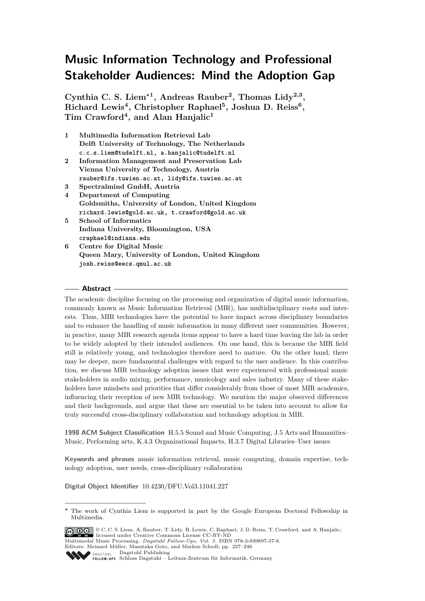# **Music Information Technology and Professional Stakeholder Audiences: Mind the Adoption Gap**

**Cynthia C. S. Liem<sup>∗</sup><sup>1</sup> , Andreas Rauber<sup>2</sup> , Thomas Lidy2,3 , Richard Lewis<sup>4</sup> , Christopher Raphael<sup>5</sup> , Joshua D. Reiss<sup>6</sup> , Tim Crawford<sup>4</sup> , and Alan Hanjalic<sup>1</sup>**

- **1 Multimedia Information Retrieval Lab Delft University of Technology, The Netherlands c.c.s.liem@tudelft.nl, a.hanjalic@tudelft.nl**
- **2 Information Management and Preservation Lab Vienna University of Technology, Austria rauber@ifs.tuwien.ac.at, lidy@ifs.tuwien.ac.at**
- **3 Spectralmind GmbH, Austria**
- **4 Department of Computing Goldsmiths, University of London, United Kingdom richard.lewis@gold.ac.uk, t.crawford@gold.ac.uk**
- **5 School of Informatics Indiana University, Bloomington, USA craphael@indiana.edu**
- **6 Centre for Digital Music Queen Mary, University of London, United Kingdom josh.reiss@eecs.qmul.ac.uk**

## **Abstract**

The academic discipline focusing on the processing and organization of digital music information, commonly known as Music Information Retrieval (MIR), has multidisciplinary roots and interests. Thus, MIR technologies have the potential to have impact across disciplinary boundaries and to enhance the handling of music information in many different user communities. However, in practice, many MIR research agenda items appear to have a hard time leaving the lab in order to be widely adopted by their intended audiences. On one hand, this is because the MIR field still is relatively young, and technologies therefore need to mature. On the other hand, there may be deeper, more fundamental challenges with regard to the user audience. In this contribution, we discuss MIR technology adoption issues that were experienced with professional music stakeholders in audio mixing, performance, musicology and sales industry. Many of these stakeholders have mindsets and priorities that differ considerably from those of most MIR academics, influencing their reception of new MIR technology. We mention the major observed differences and their backgrounds, and argue that these are essential to be taken into account to allow for truly successful cross-disciplinary collaboration and technology adoption in MIR.

**1998 ACM Subject Classification** H.5.5 Sound and Music Computing, J.5 Arts and Humanities– Music, Performing arts, K.4.3 Organizational Impacts, H.3.7 Digital Libraries–User issues

**Keywords and phrases** music information retrieval, music computing, domain expertise, technology adoption, user needs, cross-disciplinary collaboration

**Digital Object Identifier** [10.4230/DFU.Vol3.11041.227](http://dx.doi.org/10.4230/DFU.Vol3.11041.227)

© C. C. S. Liem, A. Rauber, T. Lidy, R. Lewis, C. Raphael, J. D. Reiss, T. Crawford, and A. Hanjalic; licensed under Creative Commons License CC-BY-ND

Multimodal Music Processing. *[Dagstuhl Fol low-Ups, Vol. 3.](http://www.dagstuhl.de/dagpub/978-3-939897-37-8)* ISBN 978-3-939897-37-8.

Dagstuhl Publishing

**<sup>∗</sup>** The work of Cynthia Liem is supported in part by the Google European Doctoral Fellowship in Multimedia.

Editors: Meinard Müller, Masataka Goto, and Markus Schedl; pp. 227[–246](#page-19-0) Schloss Dagstuhl – Leibniz-Zentrum für Informatik, Germany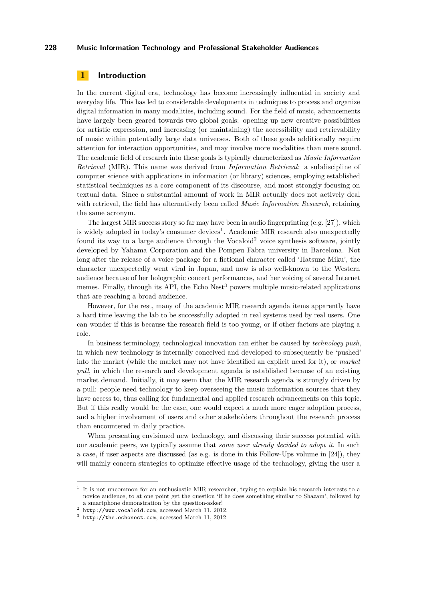# **1 Introduction**

In the current digital era, technology has become increasingly influential in society and everyday life. This has led to considerable developments in techniques to process and organize digital information in many modalities, including sound. For the field of music, advancements have largely been geared towards two global goals: opening up new creative possibilities for artistic expression, and increasing (or maintaining) the accessibility and retrievability of music within potentially large data universes. Both of these goals additionally require attention for interaction opportunities, and may involve more modalities than mere sound. The academic field of research into these goals is typically characterized as *Music Information Retrieval* (MIR). This name was derived from *Information Retrieval*: a subdiscipline of computer science with applications in information (or library) sciences, employing established statistical techniques as a core component of its discourse, and most strongly focusing on textual data. Since a substantial amount of work in MIR actually does not actively deal with retrieval, the field has alternatively been called *Music Information Research*, retaining the same acronym.

The largest MIR success story so far may have been in audio fingerprinting (e.g. [\[27\]](#page-18-0)), which is widely adopted in today's consumer devices<sup>1</sup>. Academic MIR research also unexpectedly found its way to a large audience through the Vocaloid<sup>2</sup> voice synthesis software, jointly developed by Yahama Corporation and the Pompeu Fabra university in Barcelona. Not long after the release of a voice package for a fictional character called 'Hatsune Miku', the character unexpectedly went viral in Japan, and now is also well-known to the Western audience because of her holographic concert performances, and her voicing of several Internet memes. Finally, through its API, the Echo  $Nest<sup>3</sup>$  powers multiple music-related applications that are reaching a broad audience.

However, for the rest, many of the academic MIR research agenda items apparently have a hard time leaving the lab to be successfully adopted in real systems used by real users. One can wonder if this is because the research field is too young, or if other factors are playing a role.

In business terminology, technological innovation can either be caused by *technology push*, in which new technology is internally conceived and developed to subsequently be 'pushed' into the market (while the market may not have identified an explicit need for it), or *market pull*, in which the research and development agenda is established because of an existing market demand. Initially, it may seem that the MIR research agenda is strongly driven by a pull: people need technology to keep overseeing the music information sources that they have access to, thus calling for fundamental and applied research advancements on this topic. But if this really would be the case, one would expect a much more eager adoption process, and a higher involvement of users and other stakeholders throughout the research process than encountered in daily practice.

When presenting envisioned new technology, and discussing their success potential with our academic peers, we typically assume that *some user already decided to adopt it*. In such a case, if user aspects are discussed (as e.g. is done in this Follow-Ups volume in [\[24\]](#page-18-1)), they will mainly concern strategies to optimize effective usage of the technology, giving the user a

<sup>1</sup> It is not uncommon for an enthusiastic MIR researcher, trying to explain his research interests to a novice audience, to at one point get the question 'if he does something similar to Shazam', followed by a smartphone demonstration by the question-asker!

 $2$  <http://www.vocaloid.com>, accessed March 11, 2012.

 $3$  <http://the.echonest.com>, accessed March 11, 2012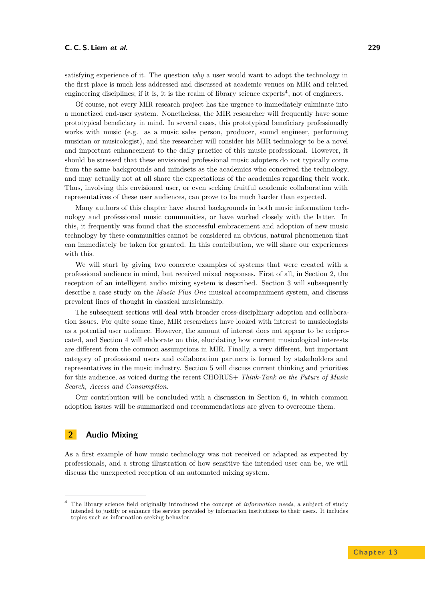satisfying experience of it. The question *why* a user would want to adopt the technology in the first place is much less addressed and discussed at academic venues on MIR and related engineering disciplines; if it is, it is the realm of library science experts<sup>4</sup>, not of engineers.

Of course, not every MIR research project has the urgence to immediately culminate into a monetized end-user system. Nonetheless, the MIR researcher will frequently have some prototypical beneficiary in mind. In several cases, this prototypical beneficiary professionally works with music (e.g. as a music sales person, producer, sound engineer, performing musician or musicologist), and the researcher will consider his MIR technology to be a novel and important enhancement to the daily practice of this music professional. However, it should be stressed that these envisioned professional music adopters do not typically come from the same backgrounds and mindsets as the academics who conceived the technology, and may actually not at all share the expectations of the academics regarding their work. Thus, involving this envisioned user, or even seeking fruitful academic collaboration with representatives of these user audiences, can prove to be much harder than expected.

Many authors of this chapter have shared backgrounds in both music information technology and professional music communities, or have worked closely with the latter. In this, it frequently was found that the successful embracement and adoption of new music technology by these communities cannot be considered an obvious, natural phenomenon that can immediately be taken for granted. In this contribution, we will share our experiences with this.

We will start by giving two concrete examples of systems that were created with a professional audience in mind, but received mixed responses. First of all, in Section [2,](#page-2-0) the reception of an intelligent audio mixing system is described. Section [3](#page-4-0) will subsequently describe a case study on the *Music Plus One* musical accompaniment system, and discuss prevalent lines of thought in classical musicianship.

The subsequent sections will deal with broader cross-disciplinary adoption and collaboration issues. For quite some time, MIR researchers have looked with interest to musicologists as a potential user audience. However, the amount of interest does not appear to be reciprocated, and Section [4](#page-6-0) will elaborate on this, elucidating how current musicological interests are different from the common assumptions in MIR. Finally, a very different, but important category of professional users and collaboration partners is formed by stakeholders and representatives in the music industry. Section [5](#page-10-0) will discuss current thinking and priorities for this audience, as voiced during the recent CHORUS+ *Think-Tank on the Future of Music Search, Access and Consumption*.

Our contribution will be concluded with a discussion in Section [6,](#page-15-0) in which common adoption issues will be summarized and recommendations are given to overcome them.

# <span id="page-2-0"></span>**2 Audio Mixing**

As a first example of how music technology was not received or adapted as expected by professionals, and a strong illustration of how sensitive the intended user can be, we will discuss the unexpected reception of an automated mixing system.

<sup>4</sup> The library science field originally introduced the concept of *information needs*, a subject of study intended to justify or enhance the service provided by information institutions to their users. It includes topics such as information seeking behavior.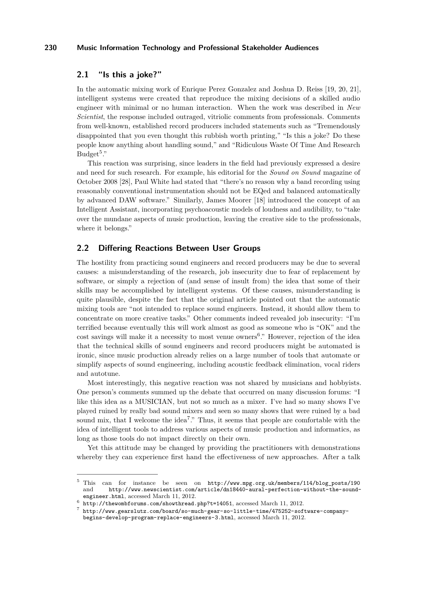# **2.1 "Is this a joke?"**

In the automatic mixing work of Enrique Perez Gonzalez and Joshua D. Reiss [\[19,](#page-18-2) [20,](#page-18-3) [21\]](#page-18-4), intelligent systems were created that reproduce the mixing decisions of a skilled audio engineer with minimal or no human interaction. When the work was described in *New Scientist*, the response included outraged, vitriolic comments from professionals. Comments from well-known, established record producers included statements such as "Tremendously disappointed that you even thought this rubbish worth printing," "Is this a joke? Do these people know anything about handling sound," and "Ridiculous Waste Of Time And Research  $Budget<sup>5</sup>$ ."

This reaction was surprising, since leaders in the field had previously expressed a desire and need for such research. For example, his editorial for the *Sound on Sound* magazine of October 2008 [\[28\]](#page-18-5), Paul White had stated that "there's no reason why a band recording using reasonably conventional instrumentation should not be EQed and balanced automatically by advanced DAW software." Similarly, James Moorer [\[18\]](#page-18-6) introduced the concept of an Intelligent Assistant, incorporating psychoacoustic models of loudness and audibility, to "take over the mundane aspects of music production, leaving the creative side to the professionals, where it belongs."

# **2.2 Differing Reactions Between User Groups**

The hostility from practicing sound engineers and record producers may be due to several causes: a misunderstanding of the research, job insecurity due to fear of replacement by software, or simply a rejection of (and sense of insult from) the idea that some of their skills may be accomplished by intelligent systems. Of these causes, misunderstanding is quite plausible, despite the fact that the original article pointed out that the automatic mixing tools are "not intended to replace sound engineers. Instead, it should allow them to concentrate on more creative tasks." Other comments indeed revealed job insecurity: "I'm terrified because eventually this will work almost as good as someone who is "OK" and the cost savings will make it a necessity to most venue owners<sup>6</sup>." However, rejection of the idea that the technical skills of sound engineers and record producers might be automated is ironic, since music production already relies on a large number of tools that automate or simplify aspects of sound engineering, including acoustic feedback elimination, vocal riders and autotune.

Most interestingly, this negative reaction was not shared by musicians and hobbyists. One person's comments summed up the debate that occurred on many discussion forums: "I like this idea as a MUSICIAN, but not so much as a mixer. I've had so many shows I've played ruined by really bad sound mixers and seen so many shows that were ruined by a bad sound mix, that I welcome the idea<sup>7</sup>." Thus, it seems that people are comfortable with the idea of intelligent tools to address various aspects of music production and informatics, as long as those tools do not impact directly on their own.

Yet this attitude may be changed by providing the practitioners with demonstrations whereby they can experience first hand the effectiveness of new approaches. After a talk

<sup>5</sup> This can for instance be seen on [http://www.mpg.org.uk/members/114/blog\\_posts/190](http://www.mpg.org.uk/members/114/blog_posts/190) and [http://www.newscientist.com/article/dn18440-aural-perfection-without-the-sound](http://www.newscientist.com/article/dn18440-aural-perfection-without-the-sound-engineer.html)[engineer.html](http://www.newscientist.com/article/dn18440-aural-perfection-without-the-sound-engineer.html), accessed March 11, 2012.

<sup>6</sup> <http://thewombforums.com/showthread.php?t=14051>, accessed March 11, 2012.

<sup>7</sup> [http://www.gearslutz.com/board/so-much-gear-so-little-time/475252-software-company](http://www.gearslutz.com/board/so-much-gear-so-little-time/475252-software-company-begins-develop-program-replace-engineers-3.html)[begins-develop-program-replace-engineers-3.html](http://www.gearslutz.com/board/so-much-gear-so-little-time/475252-software-company-begins-develop-program-replace-engineers-3.html), accessed March 11, 2012.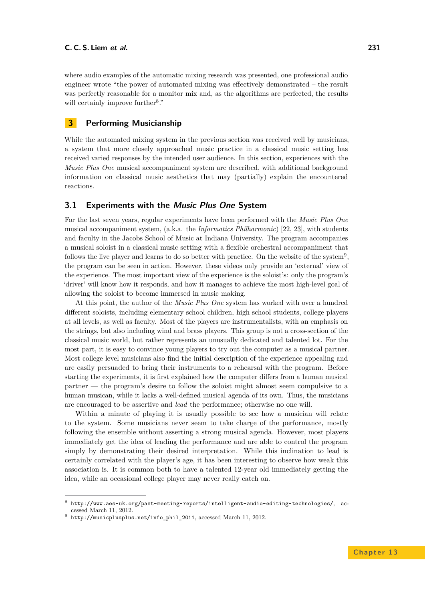where audio examples of the automatic mixing research was presented, one professional audio engineer wrote "the power of automated mixing was effectively demonstrated – the result was perfectly reasonable for a monitor mix and, as the algorithms are perfected, the results will certainly improve further<sup>8</sup>."

# <span id="page-4-0"></span>**3 Performing Musicianship**

While the automated mixing system in the previous section was received well by musicians, a system that more closely approached music practice in a classical music setting has received varied responses by the intended user audience. In this section, experiences with the *Music Plus One* musical accompaniment system are described, with additional background information on classical music aesthetics that may (partially) explain the encountered reactions.

# **3.1 Experiments with the Music Plus One System**

For the last seven years, regular experiments have been performed with the *Music Plus One* musical accompaniment system, (a.k.a. the *Informatics Philharmonic*) [\[22,](#page-18-7) [23\]](#page-18-8), with students and faculty in the Jacobs School of Music at Indiana University. The program accompanies a musical soloist in a classical music setting with a flexible orchestral accompaniment that follows the live player and learns to do so better with practice. On the website of the system<sup>9</sup>, the program can be seen in action. However, these videos only provide an 'external' view of the experience. The most important view of the experience is the soloist's: only the program's 'driver' will know how it responds, and how it manages to achieve the most high-level goal of allowing the soloist to become immersed in music making.

At this point, the author of the *Music Plus One* system has worked with over a hundred different soloists, including elementary school children, high school students, college players at all levels, as well as faculty. Most of the players are instrumentalists, with an emphasis on the strings, but also including wind and brass players. This group is not a cross-section of the classical music world, but rather represents an unusually dedicated and talented lot. For the most part, it is easy to convince young players to try out the computer as a musical partner. Most college level musicians also find the initial description of the experience appealing and are easily persuaded to bring their instruments to a rehearsal with the program. Before starting the experiments, it is first explained how the computer differs from a human musical partner — the program's desire to follow the soloist might almost seem compulsive to a human musican, while it lacks a well-defined musical agenda of its own. Thus, the musicians are encouraged to be assertive and *lead* the performance; otherwise no one will.

Within a minute of playing it is usually possible to see how a musician will relate to the system. Some musicians never seem to take charge of the performance, mostly following the ensemble without asserting a strong musical agenda. However, most players immediately get the idea of leading the performance and are able to control the program simply by demonstrating their desired interpretation. While this inclination to lead is certainly correlated with the player's age, it has been interesting to observe how weak this association is. It is common both to have a talented 12-year old immediately getting the idea, while an occasional college player may never really catch on.

 $^8$  <http://www.aes-uk.org/past-meeting-reports/intelligent-audio-editing-technologies/>, accessed March 11, 2012.

 $^9$  [http://musicplusplus.net/info\\_phil\\_2011](http://musicplusplus.net/info_phil_2011), accessed March 11, 2012.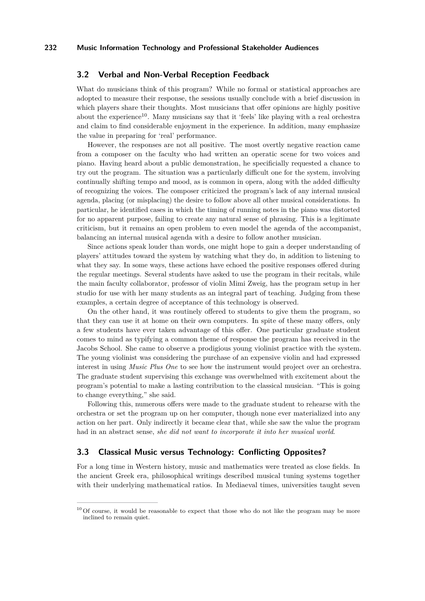# **3.2 Verbal and Non-Verbal Reception Feedback**

What do musicians think of this program? While no formal or statistical approaches are adopted to measure their response, the sessions usually conclude with a brief discussion in which players share their thoughts. Most musicians that offer opinions are highly positive about the experience<sup>10</sup>. Many musicians say that it 'feels' like playing with a real orchestra and claim to find considerable enjoyment in the experience. In addition, many emphasize the value in preparing for 'real' performance.

However, the responses are not all positive. The most overtly negative reaction came from a composer on the faculty who had written an operatic scene for two voices and piano. Having heard about a public demonstration, he specificially requested a chance to try out the program. The situation was a particularly difficult one for the system, involving continually shifting tempo and mood, as is common in opera, along with the added difficulty of recognizing the voices. The composer criticized the program's lack of any internal musical agenda, placing (or misplacing) the desire to follow above all other musical considerations. In particular, he identified cases in which the timing of running notes in the piano was distorted for no apparent purpose, failing to create any natural sense of phrasing. This is a legitimate criticism, but it remains an open problem to even model the agenda of the accompanist, balancing an internal musical agenda with a desire to follow another musician.

Since actions speak louder than words, one might hope to gain a deeper understanding of players' attitudes toward the system by watching what they do, in addition to listening to what they say. In some ways, these actions have echoed the positive responses offered during the regular meetings. Several students have asked to use the program in their recitals, while the main faculty collaborator, professor of violin Mimi Zweig, has the program setup in her studio for use with her many students as an integral part of teaching. Judging from these examples, a certain degree of acceptance of this technology is observed.

On the other hand, it was routinely offered to students to give them the program, so that they can use it at home on their own computers. In spite of these many offers, only a few students have ever taken advantage of this offer. One particular graduate student comes to mind as typifying a common theme of response the program has received in the Jacobs School. She came to observe a prodigious young violinist practice with the system. The young violinist was considering the purchase of an expensive violin and had expressed interest in using *Music Plus One* to see how the instrument would project over an orchestra. The graduate student supervising this exchange was overwhelmed with excitement about the program's potential to make a lasting contribution to the classical musician. "This is going to change everything," she said.

Following this, numerous offers were made to the graduate student to rehearse with the orchestra or set the program up on her computer, though none ever materialized into any action on her part. Only indirectly it became clear that, while she saw the value the program had in an abstract sense, *she did not want to incorporate it into her musical world*.

# **3.3 Classical Music versus Technology: Conflicting Opposites?**

For a long time in Western history, music and mathematics were treated as close fields. In the ancient Greek era, philosophical writings described musical tuning systems together with their underlying mathematical ratios. In Mediaeval times, universities taught seven

 $10$  Of course, it would be reasonable to expect that those who do not like the program may be more inclined to remain quiet.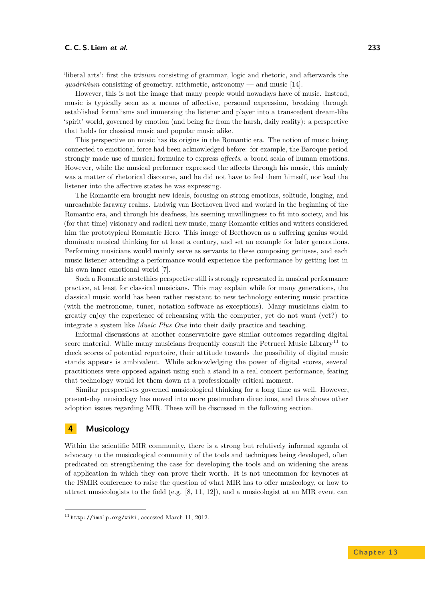'liberal arts': first the *trivium* consisting of grammar, logic and rhetoric, and afterwards the *quadrivium* consisting of geometry, arithmetic, astronomy — and music  $[14]$ .

However, this is not the image that many people would nowadays have of music. Instead, music is typically seen as a means of affective, personal expression, breaking through established formalisms and immersing the listener and player into a transcedent dream-like 'spirit' world, governed by emotion (and being far from the harsh, daily reality): a perspective that holds for classical music and popular music alike.

This perspective on music has its origins in the Romantic era. The notion of music being connected to emotional force had been acknowledged before: for example, the Baroque period strongly made use of musical formulae to express *affects*, a broad scala of human emotions. However, while the musical performer expressed the affects through his music, this mainly was a matter of rhetorical discourse, and he did not have to feel them himself, nor lead the listener into the affective states he was expressing.

The Romantic era brought new ideals, focusing on strong emotions, solitude, longing, and unreachable faraway realms. Ludwig van Beethoven lived and worked in the beginning of the Romantic era, and through his deafness, his seeming unwillingness to fit into society, and his (for that time) visionary and radical new music, many Romantic critics and writers considered him the prototypical Romantic Hero. This image of Beethoven as a suffering genius would dominate musical thinking for at least a century, and set an example for later generations. Performing musicians would mainly serve as servants to these composing geniuses, and each music listener attending a performance would experience the performance by getting lost in his own inner emotional world [\[7\]](#page-17-0).

Such a Romantic aestethics perspective still is strongly represented in musical performance practice, at least for classical musicians. This may explain while for many generations, the classical music world has been rather resistant to new technology entering music practice (with the metronome, tuner, notation software as exceptions). Many musicians claim to greatly enjoy the experience of rehearsing with the computer, yet do not want (yet?) to integrate a system like *Music Plus One* into their daily practice and teaching.

Informal discussions at another conservatoire gave similar outcomes regarding digital score material. While many musicians frequently consult the Petrucci Music Library<sup>11</sup> to check scores of potential repertoire, their attitude towards the possibility of digital music stands appears is ambivalent. While acknowledging the power of digital scores, several practitioners were opposed against using such a stand in a real concert performance, fearing that technology would let them down at a professionally critical moment.

Similar perspectives governed musicological thinking for a long time as well. However, present-day musicology has moved into more postmodern directions, and thus shows other adoption issues regarding MIR. These will be discussed in the following section.

# <span id="page-6-0"></span>**4 Musicology**

Within the scientific MIR community, there is a strong but relatively informal agenda of advocacy to the musicological community of the tools and techniques being developed, often predicated on strengthening the case for developing the tools and on widening the areas of application in which they can prove their worth. It is not uncommon for keynotes at the ISMIR conference to raise the question of what MIR has to offer musicology, or how to attract musicologists to the field (e.g.  $[8, 11, 12]$  $[8, 11, 12]$  $[8, 11, 12]$  $[8, 11, 12]$  $[8, 11, 12]$ ), and a musicologist at an MIR event can

 $11$  <http://imslp.org/wiki>, accessed March 11, 2012.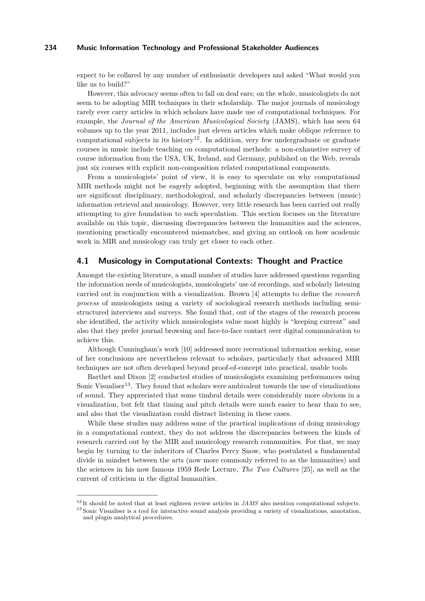expect to be collared by any number of enthusiastic developers and asked "What would you like us to build?"

However, this advocacy seems often to fall on deaf ears; on the whole, musicologists do not seem to be adopting MIR techniques in their scholarship. The major journals of musicology rarely ever carry articles in which scholars have made use of computational techniques. For example, the *Journal of the American Musicological Society* (JAMS), which has seen 64 volumes up to the year 2011, includes just eleven articles which make oblique reference to computational subjects in its history<sup>12</sup>. In addition, very few undergraduate or graduate courses in music include teaching on computational methods: a non-exhaustive survey of course information from the USA, UK, Ireland, and Germany, published on the Web, reveals just six courses with explicit non-composition related computational components.

From a musicologists' point of view, it is easy to speculate on why computational MIR methods might not be eagerly adopted, beginning with the assumption that there are significant disciplinary, methodological, and scholarly discrepancies between (music) information retrieval and musicology. However, very little research has been carried out really attempting to give foundation to such speculation. This section focuses on the literature available on this topic, discussing discrepancies between the humanities and the sciences, mentioning practically encountered mismatches, and giving an outlook on how academic work in MIR and musicology can truly get closer to each other.

# **4.1 Musicology in Computational Contexts: Thought and Practice**

Amongst the existing literature, a small number of studies have addressed questions regarding the information needs of musicologists, musicologists' use of recordings, and scholarly listening carried out in conjunction with a visualization. Brown [\[4\]](#page-17-3) attempts to define the *research process* of musicologists using a variety of sociological research methods including semistructured interviews and surveys. She found that, out of the stages of the research process she identified, the activity which musicologists value most highly is "keeping current" and also that they prefer journal browsing and face-to-face contact over digital communication to achieve this.

Although Cunningham's work [\[10\]](#page-17-4) addressed more recreational information seeking, some of her conclusions are nevertheless relevant to scholars, particularly that advanced MIR techniques are not often developed beyond proof-of-concept into practical, usable tools.

Barthet and Dixon [\[2\]](#page-17-5) conducted studies of musicologists examining performances using Sonic Visualiser<sup>13</sup>. They found that scholars were ambivalent towards the use of visualizations of sound. They appreciated that some timbral details were considerably more obvious in a visualization, but felt that timing and pitch details were much easier to hear than to see, and also that the visualization could distract listening in these cases.

While these studies may address some of the practical implications of doing musicology in a computational context, they do not address the discrepancies between the kinds of research carried out by the MIR and musicology research communities. For that, we may begin by turning to the inheritors of Charles Percy Snow, who postulated a fundamental divide in mindset between the arts (now more commonly referred to as the humanities) and the sciences in his now famous 1959 Rede Lecture, *The Two Cultures* [\[25\]](#page-18-11), as well as the current of criticism in the digital humanities.

<sup>&</sup>lt;sup>12</sup> It should be noted that at least eighteen review articles in *JAMS* also mention computational subjects.

<sup>&</sup>lt;sup>13</sup> Sonic Visualiser is a tool for interactive sound analysis providing a variety of visualizations, annotation, and plugin analytical procedures.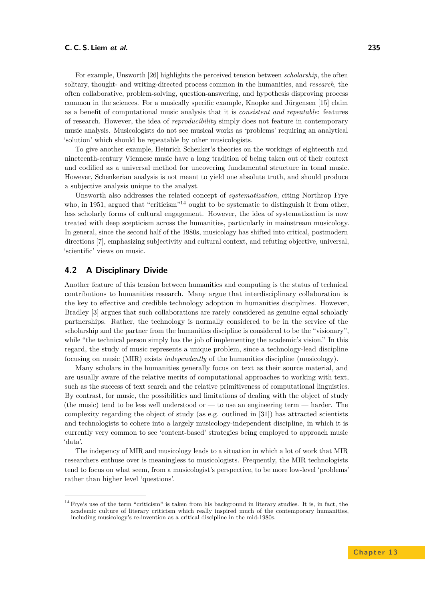For example, Unsworth [\[26\]](#page-18-12) highlights the perceived tension between *scholarship*, the often solitary, thought- and writing-directed process common in the humanities, and *research*, the often collaborative, problem-solving, question-answering, and hypothesis disproving process common in the sciences. For a musically specific example, Knopke and Jürgensen [\[15\]](#page-18-13) claim as a benefit of computational music analysis that it is *consistent and repeatable*: features of research. However, the idea of *reproducibility* simply does not feature in contemporary music analysis. Musicologists do not see musical works as 'problems' requiring an analytical 'solution' which should be repeatable by other musicologists.

To give another example, Heinrich Schenker's theories on the workings of eighteenth and nineteenth-century Viennese music have a long tradition of being taken out of their context and codified as a universal method for uncovering fundamental structure in tonal music. However, Schenkerian analysis is not meant to yield one absolute truth, and should produce a subjective analysis unique to the analyst.

Unsworth also addresses the related concept of *systematization*, citing Northrop Frye who, in 1951, argued that "criticism"<sup>14</sup> ought to be systematic to distinguish it from other, less scholarly forms of cultural engagement. However, the idea of systematization is now treated with deep scepticism across the humanities, particularly in mainstream musicology. In general, since the second half of the 1980s, musicology has shifted into critical, postmodern directions [\[7\]](#page-17-0), emphasizing subjectivity and cultural context, and refuting objective, universal, 'scientific' views on music.

# **4.2 A Disciplinary Divide**

Another feature of this tension between humanities and computing is the status of technical contributions to humanities research. Many argue that interdisciplinary collaboration is the key to effective and credible technology adoption in humanities disciplines. However, Bradley [\[3\]](#page-17-6) argues that such collaborations are rarely considered as genuine equal scholarly partnerships. Rather, the technology is normally considered to be in the service of the scholarship and the partner from the humanities discipline is considered to be the "visionary", while "the technical person simply has the job of implementing the academic's vision." In this regard, the study of music represents a unique problem, since a technology-lead discipline focusing on music (MIR) exists *independently* of the humanities discipline (musicology).

Many scholars in the humanities generally focus on text as their source material, and are usually aware of the relative merits of computational approaches to working with text, such as the success of text search and the relative primitiveness of computational linguistics. By contrast, for music, the possibilities and limitations of dealing with the object of study (the music) tend to be less well understood or — to use an engineering term — harder. The complexity regarding the object of study (as e.g. outlined in [\[31\]](#page-18-14)) has attracted scientists and technologists to cohere into a largely musicology-independent discipline, in which it is currently very common to see 'content-based' strategies being employed to approach music 'data'.

The indepency of MIR and musicology leads to a situation in which a lot of work that MIR researchers enthuse over is meaningless to musicologists. Frequently, the MIR technologists tend to focus on what seem, from a musicologist's perspective, to be more low-level 'problems' rather than higher level 'questions'.

<sup>&</sup>lt;sup>14</sup> Frye's use of the term "criticism" is taken from his background in literary studies. It is, in fact, the academic culture of literary criticism which really inspired much of the contemporary humanities, including musicology's re-invention as a critical discipline in the mid-1980s.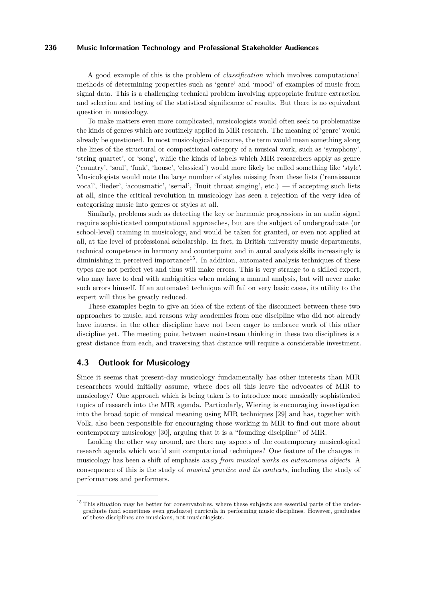A good example of this is the problem of *classification* which involves computational methods of determining properties such as 'genre' and 'mood' of examples of music from signal data. This is a challenging technical problem involving appropriate feature extraction and selection and testing of the statistical significance of results. But there is no equivalent question in musicology.

To make matters even more complicated, musicologists would often seek to problematize the kinds of genres which are routinely applied in MIR research. The meaning of 'genre' would already be questioned. In most musicological discourse, the term would mean something along the lines of the structural or compositional category of a musical work, such as 'symphony', 'string quartet', or 'song', while the kinds of labels which MIR researchers apply as genre ('country', 'soul', 'funk', 'house', 'classical') would more likely be called something like 'style'. Musicologists would note the large number of styles missing from these lists ('renaissance vocal', 'lieder', 'acousmatic', 'serial', 'Inuit throat singing', etc.) — if accepting such lists at all, since the critical revolution in musicology has seen a rejection of the very idea of categorising music into genres or styles at all.

Similarly, problems such as detecting the key or harmonic progressions in an audio signal require sophisticated computational approaches, but are the subject of undergraduate (or school-level) training in musicology, and would be taken for granted, or even not applied at all, at the level of professional scholarship. In fact, in British university music departments, technical competence in harmony and counterpoint and in aural analysis skills increasingly is diminishing in perceived importance<sup>15</sup>. In addition, automated analysis techniques of these types are not perfect yet and thus will make errors. This is very strange to a skilled expert, who may have to deal with ambiguities when making a manual analysis, but will never make such errors himself. If an automated technique will fail on very basic cases, its utility to the expert will thus be greatly reduced.

These examples begin to give an idea of the extent of the disconnect between these two approaches to music, and reasons why academics from one discipline who did not already have interest in the other discipline have not been eager to embrace work of this other discipline yet. The meeting point between mainstream thinking in these two disciplines is a great distance from each, and traversing that distance will require a considerable investment.

## **4.3 Outlook for Musicology**

Since it seems that present-day musicology fundamentally has other interests than MIR researchers would initially assume, where does all this leave the advocates of MIR to musicology? One approach which is being taken is to introduce more musically sophisticated topics of research into the MIR agenda. Particularly, Wiering is encouraging investigation into the broad topic of musical meaning using MIR techniques [\[29\]](#page-18-15) and has, together with Volk, also been responsible for encouraging those working in MIR to find out more about contemporary musicology [\[30\]](#page-18-16), arguing that it is a "founding discipline" of MIR.

Looking the other way around, are there any aspects of the contemporary musicological research agenda which would suit computational techniques? One feature of the changes in musicology has been a shift of emphasis *away from musical works as autonomous objects*. A consequence of this is the study of *musical practice and its contexts*, including the study of performances and performers.

<sup>&</sup>lt;sup>15</sup> This situation may be better for conservatoires, where these subjects are essential parts of the undergraduate (and sometimes even graduate) curricula in performing music disciplines. However, graduates of these disciplines are musicians, not musicologists.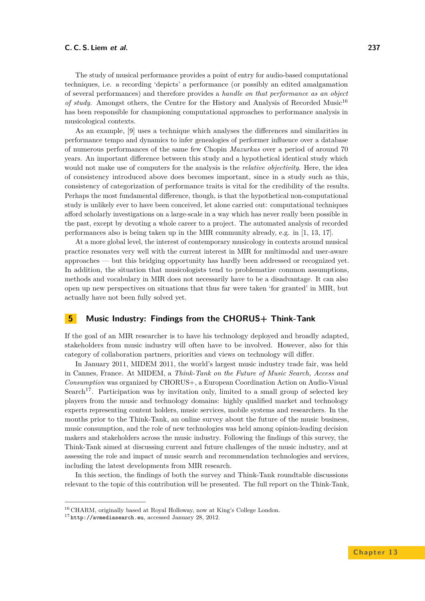#### **C. C. S. Liem et al. 237**

The study of musical performance provides a point of entry for audio-based computational techniques, i.e. a recording 'depicts' a performance (or possibly an edited amalgamation of several performances) and therefore provides a *handle on that performance as an object of study*. Amongst others, the Centre for the History and Analysis of Recorded Music<sup>16</sup> has been responsible for championing computational approaches to performance analysis in musicological contexts.

As an example, [\[9\]](#page-17-7) uses a technique which analyses the differences and similarities in performance tempo and dynamics to infer genealogies of performer influence over a database of numerous performances of the same few Chopin *Mazurkas* over a period of around 70 years. An important difference between this study and a hypothetical identical study which would not make use of computers for the analysis is the *relative objectivity*. Here, the idea of consistency introduced above does becomes important, since in a study such as this, consistency of categorization of performance traits is vital for the credibility of the results. Perhaps the most fundamental difference, though, is that the hypothetical non-computational study is unlikely ever to have been conceived, let alone carried out: computational techniques afford scholarly investigations on a large-scale in a way which has never really been possible in the past, except by devoting a whole career to a project. The automated analysis of recorded performances also is being taken up in the MIR community already, e.g. in [\[1,](#page-17-8) [13,](#page-18-17) [17\]](#page-18-18).

At a more global level, the interest of contemporary musicology in contexts around musical practice resonates very well with the current interest in MIR for multimodal and user-aware approaches — but this bridging opportunity has hardly been addressed or recognized yet. In addition, the situation that musicologists tend to problematize common assumptions, methods and vocabulary in MIR does not necessarily have to be a disadvantage. It can also open up new perspectives on situations that thus far were taken 'for granted' in MIR, but actually have not been fully solved yet.

# <span id="page-10-0"></span>**5 Music Industry: Findings from the CHORUS+ Think-Tank**

If the goal of an MIR researcher is to have his technology deployed and broadly adapted, stakeholders from music industry will often have to be involved. However, also for this category of collaboration partners, priorities and views on technology will differ.

In January 2011, MIDEM 2011, the world's largest music industry trade fair, was held in Cannes, France. At MIDEM, a *Think-Tank on the Future of Music Search, Access and Consumption* was organized by CHORUS+, a European Coordination Action on Audio-Visual Search<sup>17</sup>. Participation was by invitation only, limited to a small group of selected key players from the music and technology domains: highly qualified market and technology experts representing content holders, music services, mobile systems and researchers. In the months prior to the Think-Tank, an online survey about the future of the music business, music consumption, and the role of new technologies was held among opinion-leading decision makers and stakeholders across the music industry. Following the findings of this survey, the Think-Tank aimed at discussing current and future challenges of the music industry, and at assessing the role and impact of music search and recommendation technologies and services, including the latest developments from MIR research.

In this section, the findings of both the survey and Think-Tank roundtable discussions relevant to the topic of this contribution will be presented. The full report on the Think-Tank,

<sup>&</sup>lt;sup>16</sup> CHARM, originally based at Royal Holloway, now at King's College London.

<sup>17</sup> <http://avmediasearch.eu>, accessed January 28, 2012.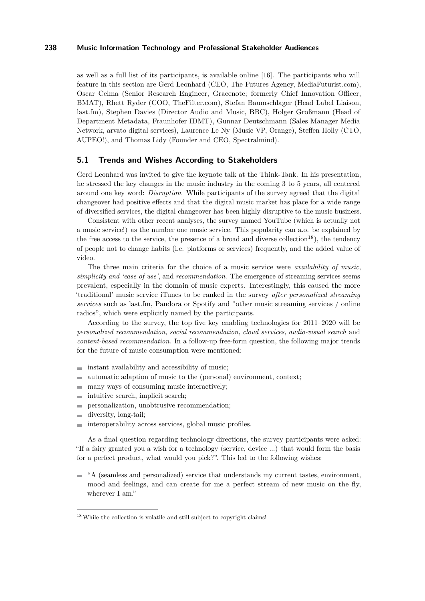as well as a full list of its participants, is available online [\[16\]](#page-18-19). The participants who will feature in this section are Gerd Leonhard (CEO, The Futures Agency, MediaFuturist.com), Oscar Celma (Senior Research Engineer, Gracenote; formerly Chief Innovation Officer, BMAT), Rhett Ryder (COO, TheFilter.com), Stefan Baumschlager (Head Label Liaison, last.fm), Stephen Davies (Director Audio and Music, BBC), Holger Großmann (Head of Department Metadata, Fraunhofer IDMT), Gunnar Deutschmann (Sales Manager Media Network, arvato digital services), Laurence Le Ny (Music VP, Orange), Steffen Holly (CTO, AUPEO!), and Thomas Lidy (Founder and CEO, Spectralmind).

# **5.1 Trends and Wishes According to Stakeholders**

Gerd Leonhard was invited to give the keynote talk at the Think-Tank. In his presentation, he stressed the key changes in the music industry in the coming 3 to 5 years, all centered around one key word: *Disruption*. While participants of the survey agreed that the digital changeover had positive effects and that the digital music market has place for a wide range of diversified services, the digital changeover has been highly disruptive to the music business.

Consistent with other recent analyses, the survey named YouTube (which is actually not a music service!) as the number one music service. This popularity can a.o. be explained by the free access to the service, the presence of a broad and diverse collection<sup>18</sup>), the tendency of people not to change habits (i.e. platforms or services) frequently, and the added value of video.

The three main criteria for the choice of a music service were *availability of music*, *simplicity and 'ease of use'*, and *recommendation*. The emergence of streaming services seems prevalent, especially in the domain of music experts. Interestingly, this caused the more 'traditional' music service iTunes to be ranked in the survey *after personalized streaming services* such as last.fm, Pandora or Spotify and "other music streaming services / online radios", which were explicitly named by the participants.

According to the survey, the top five key enabling technologies for 2011–2020 will be *personalized recommendation*, *social recommendation*, *cloud services*, *audio-visual search* and *content-based recommendation*. In a follow-up free-form question, the following major trends for the future of music consumption were mentioned:

- instant availability and accessibility of music;
- $\overline{\phantom{a}}$ automatic adaption of music to the (personal) environment, context;
- many ways of consuming music interactively; ÷
- intuitive search, implicit search;
- personalization, unobtrusive recommendation; ۰
- diversity, long-tail;  $\overline{a}$
- interoperability across services, global music profiles.

As a final question regarding technology directions, the survey participants were asked: "If a fairy granted you a wish for a technology (service, device ...) that would form the basis for a perfect product, what would you pick?". This led to the following wishes:

 $\blacksquare$  "A (seamless and personalized) service that understands my current tastes, environment, mood and feelings, and can create for me a perfect stream of new music on the fly, wherever I am."

<sup>&</sup>lt;sup>18</sup> While the collection is volatile and still subject to copyright claims!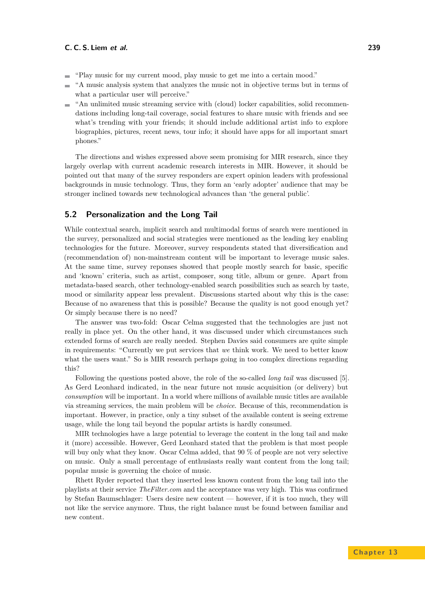- "Play music for my current mood, play music to get me into a certain mood." ÷
- "A music analysis system that analyzes the music not in objective terms but in terms of  $\overline{a}$ what a particular user will perceive."
- "An unlimited music streaming service with (cloud) locker capabilities, solid recommen- $\mathbf{r}$ dations including long-tail coverage, social features to share music with friends and see what's trending with your friends; it should include additional artist info to explore biographies, pictures, recent news, tour info; it should have apps for all important smart phones."

The directions and wishes expressed above seem promising for MIR research, since they largely overlap with current academic research interests in MIR. However, it should be pointed out that many of the survey responders are expert opinion leaders with professional backgrounds in music technology. Thus, they form an 'early adopter' audience that may be stronger inclined towards new technological advances than 'the general public'.

# **5.2 Personalization and the Long Tail**

While contextual search, implicit search and multimodal forms of search were mentioned in the survey, personalized and social strategies were mentioned as the leading key enabling technologies for the future. Moreover, survey respondents stated that diversification and (recommendation of) non-mainstream content will be important to leverage music sales. At the same time, survey reponses showed that people mostly search for basic, specific and 'known' criteria, such as artist, composer, song title, album or genre. Apart from metadata-based search, other technology-enabled search possibilities such as search by taste, mood or similarity appear less prevalent. Discussions started about why this is the case: Because of no awareness that this is possible? Because the quality is not good enough yet? Or simply because there is no need?

The answer was two-fold: Oscar Celma suggested that the technologies are just not really in place yet. On the other hand, it was discussed under which circumstances such extended forms of search are really needed. Stephen Davies said consumers are quite simple in requirements: "Currently we put services that *we* think work. We need to better know what the users want." So is MIR research perhaps going in too complex directions regarding this?

Following the questions posted above, the role of the so-called *long tail* was discussed [\[5\]](#page-17-9). As Gerd Leonhard indicated, in the near future not music acquisition (or delivery) but *consumption* will be important. In a world where millions of available music titles are available via streaming services, the main problem will be *choice*. Because of this, recommendation is important. However, in practice, only a tiny subset of the available content is seeing extreme usage, while the long tail beyond the popular artists is hardly consumed.

MIR technologies have a large potential to leverage the content in the long tail and make it (more) accessible. However, Gerd Leonhard stated that the problem is that most people will buy only what they know. Oscar Celma added, that 90 % of people are not very selective on music. Only a small percentage of enthusiasts really want content from the long tail; popular music is governing the choice of music.

Rhett Ryder reported that they inserted less known content from the long tail into the playlists at their service *TheFilter.com* and the acceptance was very high. This was confirmed by Stefan Baumschlager: Users desire new content — however, if it is too much, they will not like the service anymore. Thus, the right balance must be found between familiar and new content.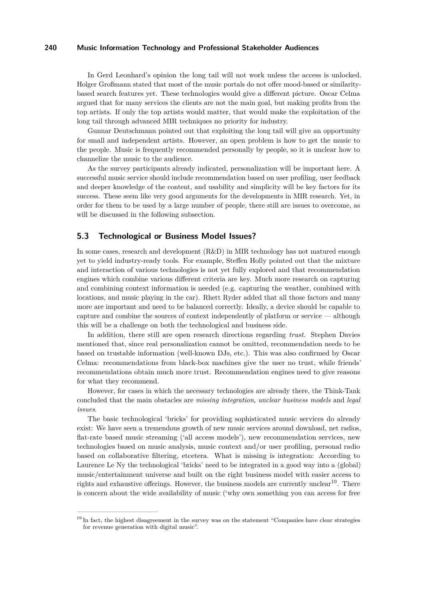In Gerd Leonhard's opinion the long tail will not work unless the access is unlocked. Holger Großmann stated that most of the music portals do not offer mood-based or similaritybased search features yet. These technologies would give a different picture. Oscar Celma argued that for many services the clients are not the main goal, but making profits from the top artists. If only the top artists would matter, that would make the exploitation of the long tail through advanced MIR techniques no priority for industry.

Gunnar Deutschmann pointed out that exploiting the long tail will give an opportunity for small and independent artists. However, an open problem is how to get the music to the people. Music is frequently recommended personally by people, so it is unclear how to channelize the music to the audience.

As the survey participants already indicated, personalization will be important here. A successful music service should include recommendation based on user profiling, user feedback and deeper knowledge of the content, and usability and simplicity will be key factors for its success. These seem like very good arguments for the developments in MIR research. Yet, in order for them to be used by a large number of people, there still are issues to overcome, as will be discussed in the following subsection.

# **5.3 Technological or Business Model Issues?**

In some cases, research and development (R&D) in MIR technology has not matured enough yet to yield industry-ready tools. For example, Steffen Holly pointed out that the mixture and interaction of various technologies is not yet fully explored and that recommendation engines which combine various different criteria are key. Much more research on capturing and combining context information is needed (e.g. capturing the weather, combined with locations, and music playing in the car). Rhett Ryder added that all those factors and many more are important and need to be balanced correctly. Ideally, a device should be capable to capture and combine the sources of context independently of platform or service — although this will be a challenge on both the technological and business side.

In addition, there still are open research directions regarding *trust*. Stephen Davies mentioned that, since real personalization cannot be omitted, recommendation needs to be based on trustable information (well-known DJs, etc.). This was also confirmed by Oscar Celma: recommendations from black-box machines give the user no trust, while friends' recommendations obtain much more trust. Recommendation engines need to give reasons for what they recommend.

However, for cases in which the necessary technologies are already there, the Think-Tank concluded that the main obstacles are *missing integration*, *unclear business models* and *legal issues*.

The basic technological 'bricks' for providing sophisticated music services do already exist: We have seen a tremendous growth of new music services around download, net radios, flat-rate based music streaming ('all access models'), new recommendation services, new technologies based on music analysis, music context and/or user profiling, personal radio based on collaborative filtering, etcetera. What is missing is integration: According to Laurence Le Ny the technological 'bricks' need to be integrated in a good way into a (global) music/entertainment universe and built on the right business model with easier access to rights and exhaustive offerings. However, the business models are currently unclear<sup>19</sup>. There is concern about the wide availability of music ('why own something you can access for free

 $19$  In fact, the highest disagreement in the survey was on the statement "Companies have clear strategies for revenue generation with digital music".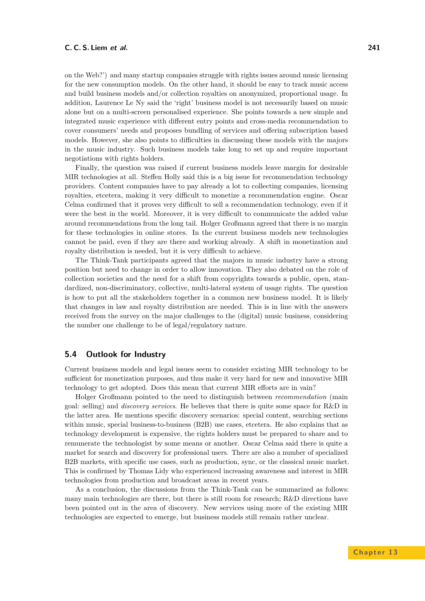on the Web?') and many startup companies struggle with rights issues around music licensing for the new consumption models. On the other hand, it should be easy to track music access and build business models and/or collection royalties on anonymized, proportional usage. In addition, Laurence Le Ny said the 'right' business model is not necessarily based on music alone but on a multi-screen personalised experience. She points towards a new simple and integrated music experience with different entry points and cross-media recommendation to cover consumers' needs and proposes bundling of services and offering subscription based models. However, she also points to difficulties in discussing these models with the majors in the music industry. Such business models take long to set up and require important negotiations with rights holders.

Finally, the question was raised if current business models leave margin for desirable MIR technologies at all. Steffen Holly said this is a big issue for recommendation technology providers. Content companies have to pay already a lot to collecting companies, licensing royalties, etcetera, making it very difficult to monetize a recommendation engine. Oscar Celma confirmed that it proves very difficult to sell a recommendation technology, even if it were the best in the world. Moreover, it is very difficult to communicate the added value around recommendations from the long tail. Holger Großmann agreed that there is no margin for these technologies in online stores. In the current business models new technologies cannot be paid, even if they are there and working already. A shift in monetization and royalty distribution is needed, but it is very difficult to achieve.

The Think-Tank participants agreed that the majors in music industry have a strong position but need to change in order to allow innovation. They also debated on the role of collection societies and the need for a shift from copyrights towards a public, open, standardized, non-discriminatory, collective, multi-lateral system of usage rights. The question is how to put all the stakeholders together in a common new business model. It is likely that changes in law and royalty distribution are needed. This is in line with the answers received from the survey on the major challenges to the (digital) music business, considering the number one challenge to be of legal/regulatory nature.

# **5.4 Outlook for Industry**

Current business models and legal issues seem to consider existing MIR technology to be sufficient for monetization purposes, and thus make it very hard for new and innovative MIR technology to get adopted. Does this mean that current MIR efforts are in vain?

Holger Großmann pointed to the need to distinguish between *recommendation* (main goal: selling) and *discovery services*. He believes that there is quite some space for R&D in the latter area. He mentions specific discovery scenarios: special content, searching sections within music, special business-to-business (B2B) use cases, etcetera. He also explains that as technology development is expensive, the rights holders must be prepared to share and to remunerate the technologist by some means or another. Oscar Celma said there is quite a market for search and discovery for professional users. There are also a number of specialized B2B markets, with specific use cases, such as production, sync, or the classical music market. This is confirmed by Thomas Lidy who experienced increasing awareness and interest in MIR technologies from production and broadcast areas in recent years.

As a conclusion, the discussions from the Think-Tank can be summarized as follows: many main technologies are there, but there is still room for research; R&D directions have been pointed out in the area of discovery. New services using more of the existing MIR technologies are expected to emerge, but business models still remain rather unclear.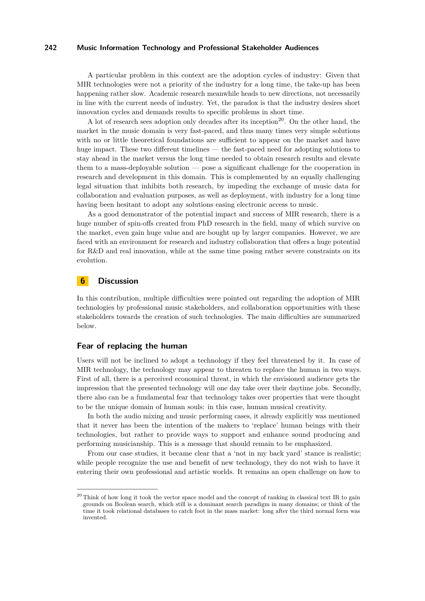A particular problem in this context are the adoption cycles of industry: Given that MIR technologies were not a priority of the industry for a long time, the take-up has been happening rather slow. Academic research meanwhile heads to new directions, not necessarily in line with the current needs of industry. Yet, the paradox is that the industry desires short innovation cycles and demands results to specific problems in short time.

A lot of research sees adoption only decades after its inception<sup>20</sup>. On the other hand, the market in the music domain is very fast-paced, and thus many times very simple solutions with no or little theoretical foundations are sufficient to appear on the market and have huge impact. These two different timelines — the fast-paced need for adopting solutions to stay ahead in the market versus the long time needed to obtain research results and elevate them to a mass-deployable solution — pose a significant challenge for the cooperation in research and development in this domain. This is complemented by an equally challenging legal situation that inhibits both research, by impeding the exchange of music data for collaboration and evaluation purposes, as well as deployment, with industry for a long time having been hesitant to adopt any solutions easing electronic access to music.

As a good demonstrator of the potential impact and success of MIR research, there is a huge number of spin-offs created from PhD research in the field, many of which survive on the market, even gain huge value and are bought up by larger companies. However, we are faced with an environment for research and industry collaboration that offers a huge potential for R&D and real innovation, while at the same time posing rather severe constraints on its evolution.

# <span id="page-15-0"></span>**6 Discussion**

In this contribution, multiple difficulties were pointed out regarding the adoption of MIR technologies by professional music stakeholders, and collaboration opportunities with these stakeholders towards the creation of such technologies. The main difficulties are summarized below.

# **Fear of replacing the human**

Users will not be inclined to adopt a technology if they feel threatened by it. In case of MIR technology, the technology may appear to threaten to replace the human in two ways. First of all, there is a perceived economical threat, in which the envisioned audience gets the impression that the presented technology will one day take over their daytime jobs. Secondly, there also can be a fundamental fear that technology takes over properties that were thought to be the unique domain of human souls: in this case, human musical creativity.

In both the audio mixing and music performing cases, it already explicitly was mentioned that it never has been the intention of the makers to 'replace' human beings with their technologies, but rather to provide ways to support and enhance sound producing and performing musicianship. This is a message that should remain to be emphasized.

From our case studies, it became clear that a 'not in my back yard' stance is realistic; while people recognize the use and benefit of new technology, they do not wish to have it entering their own professional and artistic worlds. It remains an open challenge on how to

 $^{20}$  Think of how long it took the vector space model and the concept of ranking in classical text IR to gain grounds on Boolean search, which still is a dominant search paradigm in many domains; or think of the time it took relational databases to catch foot in the mass market: long after the third normal form was invented.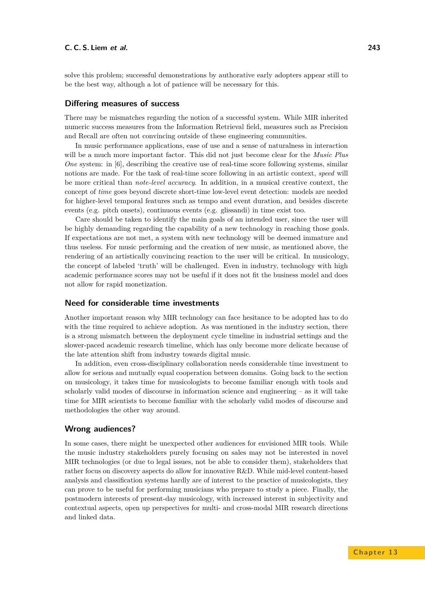solve this problem; successful demonstrations by authorative early adopters appear still to be the best way, although a lot of patience will be necessary for this.

## **Differing measures of success**

There may be mismatches regarding the notion of a successful system. While MIR inherited numeric success measures from the Information Retrieval field, measures such as Precision and Recall are often not convincing outside of these engineering communities.

In music performance applications, ease of use and a sense of naturalness in interaction will be a much more important factor. This did not just become clear for the *Music Plus One* system: in [\[6\]](#page-17-10), describing the creative use of real-time score following systems, similar notions are made. For the task of real-time score following in an artistic context, *speed* will be more critical than *note-level accuracy*. In addition, in a musical creative context, the concept of *time* goes beyond discrete short-time low-level event detection: models are needed for higher-level temporal features such as tempo and event duration, and besides discrete events (e.g. pitch onsets), continuous events (e.g. glissandi) in time exist too.

Care should be taken to identify the main goals of an intended user, since the user will be highly demanding regarding the capability of a new technology in reaching those goals. If expectations are not met, a system with new technology will be deemed immature and thus useless. For music performing and the creation of new music, as mentioned above, the rendering of an artistically convincing reaction to the user will be critical. In musicology, the concept of labeled 'truth' will be challenged. Even in industry, technology with high academic performance scores may not be useful if it does not fit the business model and does not allow for rapid monetization.

## **Need for considerable time investments**

Another important reason why MIR technology can face hesitance to be adopted has to do with the time required to achieve adoption. As was mentioned in the industry section, there is a strong mismatch between the deployment cycle timeline in industrial settings and the slower-paced academic research timeline, which has only become more delicate because of the late attention shift from industry towards digital music.

In addition, even cross-disciplinary collaboration needs considerable time investment to allow for serious and mutually equal cooperation between domains. Going back to the section on musicology, it takes time for musicologists to become familiar enough with tools and scholarly valid modes of discourse in information science and engineering – as it will take time for MIR scientists to become familiar with the scholarly valid modes of discourse and methodologies the other way around.

## **Wrong audiences?**

In some cases, there might be unexpected other audiences for envisioned MIR tools. While the music industry stakeholders purely focusing on sales may not be interested in novel MIR technologies (or due to legal issues, not be able to consider them), stakeholders that rather focus on discovery aspects do allow for innovative R&D. While mid-level content-based analysis and classification systems hardly are of interest to the practice of musicologists, they can prove to be useful for performing musicians who prepare to study a piece. Finally, the postmodern interests of present-day musicology, with increased interest in subjectivity and contextual aspects, open up perspectives for multi- and cross-modal MIR research directions and linked data.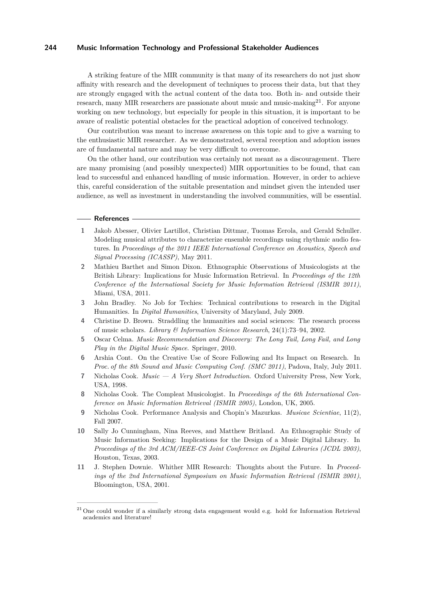A striking feature of the MIR community is that many of its researchers do not just show affinity with research and the development of techniques to process their data, but that they are strongly engaged with the actual content of the data too. Both in- and outside their research, many MIR researchers are passionate about music and music-making $2^1$ . For anyone working on new technology, but especially for people in this situation, it is important to be aware of realistic potential obstacles for the practical adoption of conceived technology.

Our contribution was meant to increase awareness on this topic and to give a warning to the enthusiastic MIR researcher. As we demonstrated, several reception and adoption issues are of fundamental nature and may be very difficult to overcome.

On the other hand, our contribution was certainly not meant as a discouragement. There are many promising (and possibly unexpected) MIR opportunities to be found, that can lead to successful and enhanced handling of music information. However, in order to achieve this, careful consideration of the suitable presentation and mindset given the intended user audience, as well as investment in understanding the involved communities, will be essential.

#### **References**

- <span id="page-17-8"></span>**1** Jakob Abesser, Olivier Lartillot, Christian Dittmar, Tuomas Eerola, and Gerald Schuller. Modeling musical attributes to characterize ensemble recordings using rhythmic audio features. In *Proceedings of the 2011 IEEE International Conference on Acoustics, Speech and Signal Processing (ICASSP)*, May 2011.
- <span id="page-17-5"></span>**2** Mathieu Barthet and Simon Dixon. Ethnographic Observations of Musicologists at the British Library: Implications for Music Information Retrieval. In *Proceedings of the 12th Conference of the International Society for Music Information Retrieval (ISMIR 2011)*, Miami, USA, 2011.
- <span id="page-17-6"></span>**3** John Bradley. No Job for Techies: Technical contributions to research in the Digital Humanities. In *Digital Humanities*, University of Maryland, July 2009.
- <span id="page-17-3"></span>**4** Christine D. Brown. Straddling the humanities and social sciences: The research process of music scholars. *Library & Information Science Research*, 24(1):73–94, 2002.
- <span id="page-17-9"></span>**5** Oscar Celma. *Music Recommendation and Discovery: The Long Tail, Long Fail, and Long Play in the Digital Music Space*. Springer, 2010.
- <span id="page-17-10"></span>**6** Arshia Cont. On the Creative Use of Score Following and Its Impact on Research. In *Proc. of the 8th Sound and Music Computing Conf. (SMC 2011)*, Padova, Italy, July 2011.
- <span id="page-17-0"></span>**7** Nicholas Cook. *Music — A Very Short Introduction*. Oxford University Press, New York, USA, 1998.
- <span id="page-17-1"></span>**8** Nicholas Cook. The Compleat Musicologist. In *Proceedings of the 6th International Conference on Music Information Retrieval (ISMIR 2005)*, London, UK, 2005.
- <span id="page-17-7"></span>**9** Nicholas Cook. Performance Analysis and Chopin's Mazurkas. *Musicae Scientiae*, 11(2), Fall 2007.
- <span id="page-17-4"></span>**10** Sally Jo Cunningham, Nina Reeves, and Matthew Britland. An Ethnographic Study of Music Information Seeking: Implications for the Design of a Music Digital Library. In *Proceedings of the 3rd ACM/IEEE-CS Joint Conference on Digital Libraries (JCDL 2003)*, Houston, Texas, 2003.
- <span id="page-17-2"></span>**11** J. Stephen Downie. Whither MIR Research: Thoughts about the Future. In *Proceedings of the 2nd International Symposium on Music Information Retrieval (ISMIR 2001)*, Bloomington, USA, 2001.

<sup>&</sup>lt;sup>21</sup> One could wonder if a similarly strong data engagement would e.g. hold for Information Retrieval academics and literature!